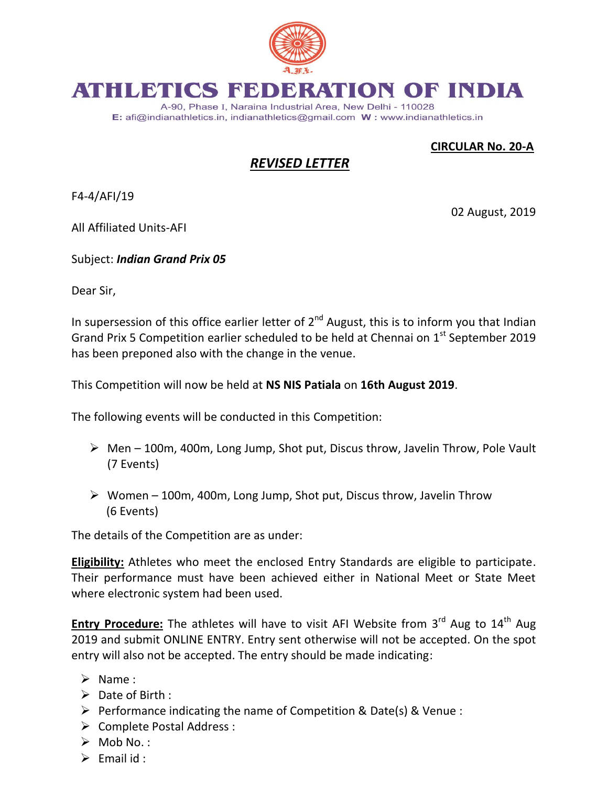

## ATHLETICS R ATION OF INDIA

A-90, Phase I, Naraina Industrial Area, New Delhi - 110028 E: afi@indianathletics.in, indianathletics@gmail.com W: www.indianathletics.in

 **CIRCULAR No. 20-A**

02 August, 2019

## *REVISED LETTER*

F4-4/AFI/19

All Affiliated Units-AFI

Subject: *Indian Grand Prix 05*

Dear Sir,

In supersession of this office earlier letter of  $2^{nd}$  August, this is to inform you that Indian Grand Prix 5 Competition earlier scheduled to be held at Chennai on 1<sup>st</sup> September 2019 has been preponed also with the change in the venue.

This Competition will now be held at **NS NIS Patiala** on **16th August 2019**.

The following events will be conducted in this Competition:

- $\triangleright$  Men 100m, 400m, Long Jump, Shot put, Discus throw, Javelin Throw, Pole Vault (7 Events)
- $\triangleright$  Women 100m, 400m, Long Jump, Shot put, Discus throw, Javelin Throw (6 Events)

The details of the Competition are as under:

**Eligibility:** Athletes who meet the enclosed Entry Standards are eligible to participate. Their performance must have been achieved either in National Meet or State Meet where electronic system had been used.

Entry Procedure: The athletes will have to visit AFI Website from 3<sup>rd</sup> Aug to 14<sup>th</sup> Aug 2019 and submit ONLINE ENTRY. Entry sent otherwise will not be accepted. On the spot entry will also not be accepted. The entry should be made indicating:

- $\triangleright$  Name:
- $\triangleright$  Date of Birth :
- $\triangleright$  Performance indicating the name of Competition & Date(s) & Venue :
- Complete Postal Address :
- $\triangleright$  Mob No.:
- $\triangleright$  Fmail id :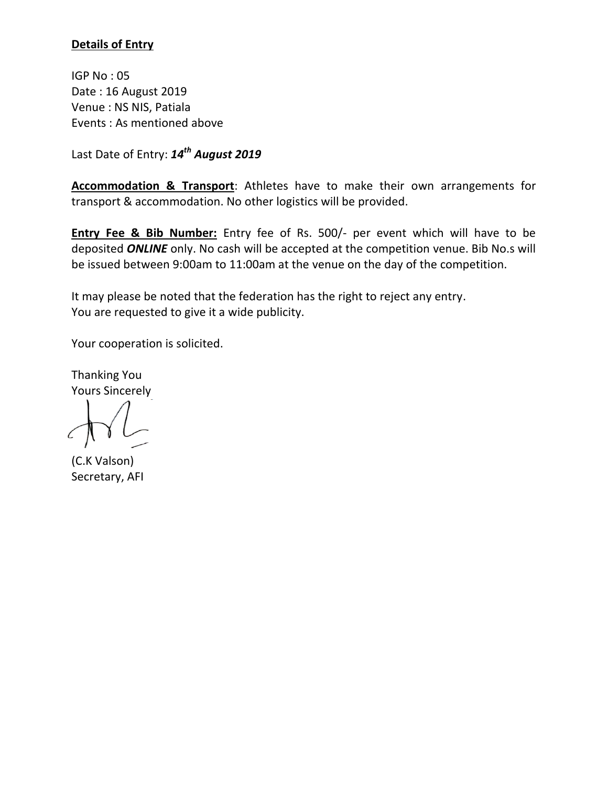## **Details of Entry**

IGP No : 05 Date : 16 August 2019 Venue : NS NIS, Patiala Events : As mentioned above

Last Date of Entry: *14th August 2019*

**Accommodation & Transport**: Athletes have to make their own arrangements for transport & accommodation. No other logistics will be provided.

**Entry Fee & Bib Number:** Entry fee of Rs. 500/- per event which will have to be deposited *ONLINE* only. No cash will be accepted at the competition venue. Bib No.s will be issued between 9:00am to 11:00am at the venue on the day of the competition.

It may please be noted that the federation has the right to reject any entry. You are requested to give it a wide publicity.

Your cooperation is solicited.

Thanking You Yours Sincerely

(C.K Valson) Secretary, AFI